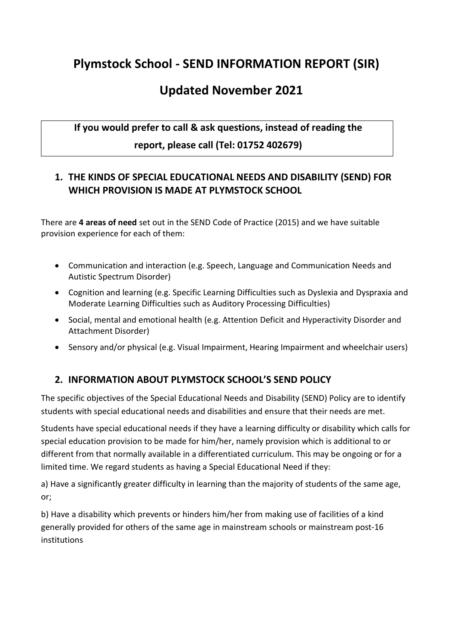# **Plymstock School - SEND INFORMATION REPORT (SIR)**

# **Updated November 2021**

# **If you would prefer to call & ask questions, instead of reading the report, please call (Tel: 01752 402679)**

### **1. THE KINDS OF SPECIAL EDUCATIONAL NEEDS AND DISABILITY (SEND) FOR WHICH PROVISION IS MADE AT PLYMSTOCK SCHOOL**

There are **4 areas of need** set out in the SEND Code of Practice (2015) and we have suitable provision experience for each of them:

- Communication and interaction (e.g. Speech, Language and Communication Needs and Autistic Spectrum Disorder)
- Cognition and learning (e.g. Specific Learning Difficulties such as Dyslexia and Dyspraxia and Moderate Learning Difficulties such as Auditory Processing Difficulties)
- Social, mental and emotional health (e.g. Attention Deficit and Hyperactivity Disorder and Attachment Disorder)
- Sensory and/or physical (e.g. Visual Impairment, Hearing Impairment and wheelchair users)

### **2. INFORMATION ABOUT PLYMSTOCK SCHOOL'S SEND POLICY**

The specific objectives of the Special Educational Needs and Disability (SEND) Policy are to identify students with special educational needs and disabilities and ensure that their needs are met.

Students have special educational needs if they have a learning difficulty or disability which calls for special education provision to be made for him/her, namely provision which is additional to or different from that normally available in a differentiated curriculum. This may be ongoing or for a limited time. We regard students as having a Special Educational Need if they:

a) Have a significantly greater difficulty in learning than the majority of students of the same age, or;

b) Have a disability which prevents or hinders him/her from making use of facilities of a kind generally provided for others of the same age in mainstream schools or mainstream post‐16 institutions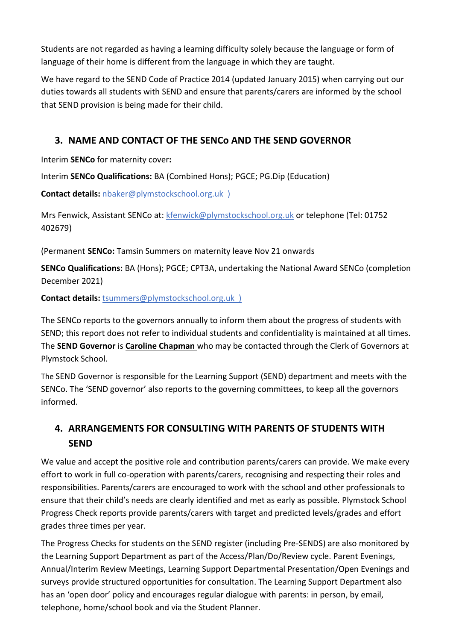Students are not regarded as having a learning difficulty solely because the language or form of language of their home is different from the language in which they are taught.

We have regard to the SEND Code of Practice 2014 (updated January 2015) when carrying out our duties towards all students with SEND and ensure that parents/carers are informed by the school that SEND provision is being made for their child.

### **3. NAME AND CONTACT OF THE SENCo AND THE SEND GOVERNOR**

Interim **SENCo** for maternity cover**:**

Interim **SENCo Qualifications:** BA (Combined Hons); PGCE; PG.Dip (Education)

**Contact details:** [nbaker@plymstockschool.org.uk](mailto:nbaker@plymstockschool.org.uk) )

Mrs Fenwick, Assistant SENCo at: [kfenwick@plymstockschool.org.uk](mailto:kfenwick@plymstockschool.org.uk) or telephone (Tel: 01752 402679)

(Permanent **SENCo:** Tamsin Summers on maternity leave Nov 21 onwards

**SENCo Qualifications:** BA (Hons); PGCE; CPT3A, undertaking the National Award SENCo (completion December 2021)

**Contact details:** [tsummers@plymstockschool.org.uk](mailto:tsummers@plymstockschool.org.uk) )

The SENCo reports to the governors annually to inform them about the progress of students with SEND; this report does not refer to individual students and confidentiality is maintained at all times. The **SEND Governor** is **Caroline Chapman** who may be contacted through the Clerk of Governors at Plymstock School.

The SEND Governor is responsible for the Learning Support (SEND) department and meets with the SENCo. The 'SEND governor' also reports to the governing committees, to keep all the governors informed.

# **4. ARRANGEMENTS FOR CONSULTING WITH PARENTS OF STUDENTS WITH SEND**

We value and accept the positive role and contribution parents/carers can provide. We make every effort to work in full co-operation with parents/carers, recognising and respecting their roles and responsibilities. Parents/carers are encouraged to work with the school and other professionals to ensure that their child's needs are clearly identified and met as early as possible. Plymstock School Progress Check reports provide parents/carers with target and predicted levels/grades and effort grades three times per year.

The Progress Checks for students on the SEND register (including Pre-SENDS) are also monitored by the Learning Support Department as part of the Access/Plan/Do/Review cycle. Parent Evenings, Annual/Interim Review Meetings, Learning Support Departmental Presentation/Open Evenings and surveys provide structured opportunities for consultation. The Learning Support Department also has an 'open door' policy and encourages regular dialogue with parents: in person, by email, telephone, home/school book and via the Student Planner.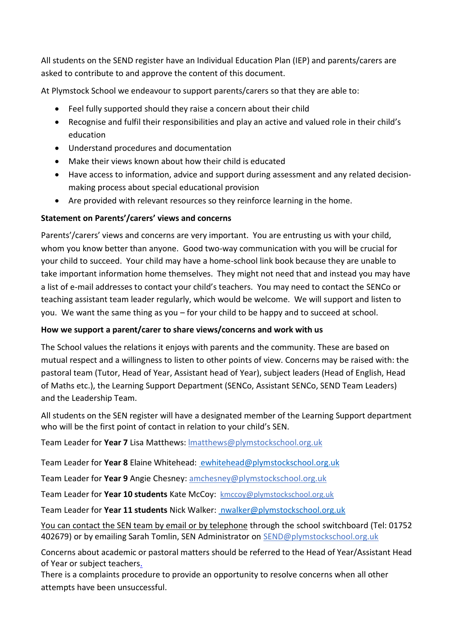All students on the SEND register have an Individual Education Plan (IEP) and parents/carers are asked to contribute to and approve the content of this document.

At Plymstock School we endeavour to support parents/carers so that they are able to:

- Feel fully supported should they raise a concern about their child
- Recognise and fulfil their responsibilities and play an active and valued role in their child's education
- Understand procedures and documentation
- Make their views known about how their child is educated
- Have access to information, advice and support during assessment and any related decisionmaking process about special educational provision
- Are provided with relevant resources so they reinforce learning in the home.

#### **Statement on Parents'/carers' views and concerns**

Parents'/carers' views and concerns are very important. You are entrusting us with your child, whom you know better than anyone. Good two-way communication with you will be crucial for your child to succeed. Your child may have a home-school link book because they are unable to take important information home themselves. They might not need that and instead you may have a list of e-mail addresses to contact your child's teachers. You may need to contact the SENCo or teaching assistant team leader regularly, which would be welcome. We will support and listen to you. We want the same thing as you – for your child to be happy and to succeed at school.

#### **How we support a parent/carer to share views/concerns and work with us**

The School values the relations it enjoys with parents and the community. These are based on mutual respect and a willingness to listen to other points of view. Concerns may be raised with: the pastoral team (Tutor, Head of Year, Assistant head of Year), subject leaders (Head of English, Head of Maths etc.), the Learning Support Department (SENCo, Assistant SENCo, SEND Team Leaders) and the Leadership Team.

All students on the SEN register will have a designated member of the Learning Support department who will be the first point of contact in relation to your child's SEN.

Team Leader for **Year 7** Lisa Matthews: [lmatthews@plymstockschool.org.uk](mailto:lmatthews@plymstockschool.org.uk) 

Team Leader for **Year 8** Elaine Whitehead: [ewhitehead@plymstockschool.org.uk](mailto:%20ewhitehead@plymstockschool.org.uk)

Team Leader for **Year 9** Angie Chesney: amchesney@plymstockschool.org.uk

Team Leader for **Year 10 students** Kate McCoy: kmccoy@plymstockschool.org.uk

Team Leader for **Year 11 students** Nick Walker: [nwalker@plymstockschool.org.uk](mailto:%20nwalker@plymstockschool.org.uk)

You can contact the SEN team by email or by telephone through the school switchboard (Tel: 01752 402679) or by emailing Sarah Tomlin, SEN Administrator on [SEND@plymstockschool.org.uk](mailto:SEND@plymstockschool.org.uk)

Concerns about academic or pastoral matters should be referred to the Head of Year/Assistant Head of Year or subject teachers.

There is a complaints procedure to provide an opportunity to resolve concerns when all other attempts have been unsuccessful.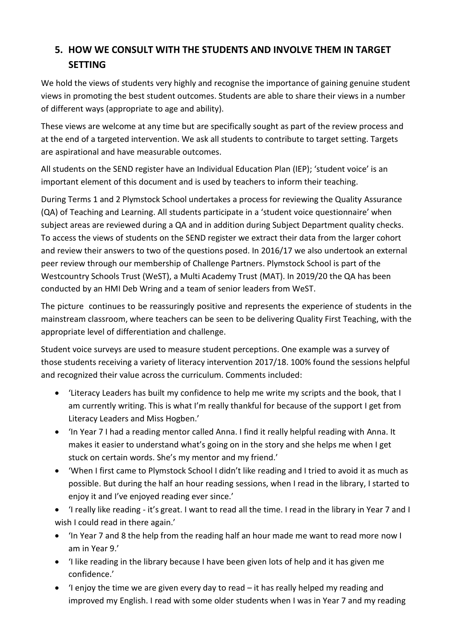# **5. HOW WE CONSULT WITH THE STUDENTS AND INVOLVE THEM IN TARGET SETTING**

We hold the views of students very highly and recognise the importance of gaining genuine student views in promoting the best student outcomes. Students are able to share their views in a number of different ways (appropriate to age and ability).

These views are welcome at any time but are specifically sought as part of the review process and at the end of a targeted intervention. We ask all students to contribute to target setting. Targets are aspirational and have measurable outcomes.

All students on the SEND register have an Individual Education Plan (IEP); 'student voice' is an important element of this document and is used by teachers to inform their teaching.

During Terms 1 and 2 Plymstock School undertakes a process for reviewing the Quality Assurance (QA) of Teaching and Learning. All students participate in a 'student voice questionnaire' when subject areas are reviewed during a QA and in addition during Subject Department quality checks. To access the views of students on the SEND register we extract their data from the larger cohort and review their answers to two of the questions posed. In 2016/17 we also undertook an external peer review through our membership of Challenge Partners. Plymstock School is part of the Westcountry Schools Trust (WeST), a Multi Academy Trust (MAT). In 2019/20 the QA has been conducted by an HMI Deb Wring and a team of senior leaders from WeST.

The picture continues to be reassuringly positive and represents the experience of students in the mainstream classroom, where teachers can be seen to be delivering Quality First Teaching, with the appropriate level of differentiation and challenge.

Student voice surveys are used to measure student perceptions. One example was a survey of those students receiving a variety of literacy intervention 2017/18. 100% found the sessions helpful and recognized their value across the curriculum. Comments included:

- 'Literacy Leaders has built my confidence to help me write my scripts and the book, that I am currently writing. This is what I'm really thankful for because of the support I get from Literacy Leaders and Miss Hogben.'
- 'In Year 7 I had a reading mentor called Anna. I find it really helpful reading with Anna. It makes it easier to understand what's going on in the story and she helps me when I get stuck on certain words. She's my mentor and my friend.'
- 'When I first came to Plymstock School I didn't like reading and I tried to avoid it as much as possible. But during the half an hour reading sessions, when I read in the library, I started to enjoy it and I've enjoyed reading ever since.'
- 'I really like reading it's great. I want to read all the time. I read in the library in Year 7 and I wish I could read in there again.'
- 'In Year 7 and 8 the help from the reading half an hour made me want to read more now I am in Year 9.'
- 'I like reading in the library because I have been given lots of help and it has given me confidence.'
- 'I enjoy the time we are given every day to read it has really helped my reading and improved my English. I read with some older students when I was in Year 7 and my reading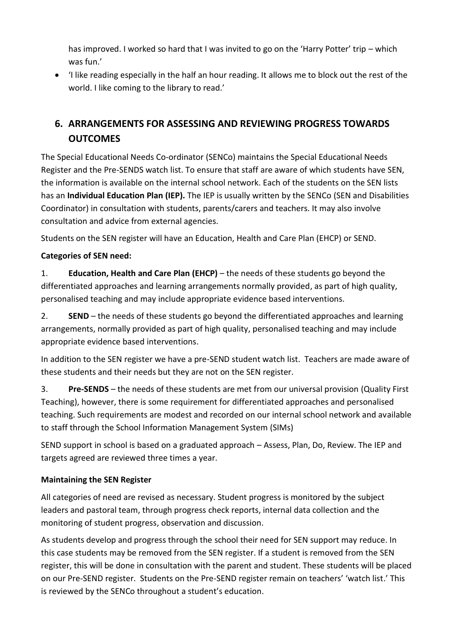has improved. I worked so hard that I was invited to go on the 'Harry Potter' trip – which was fun.'

 'I like reading especially in the half an hour reading. It allows me to block out the rest of the world. I like coming to the library to read.'

# **6. ARRANGEMENTS FOR ASSESSING AND REVIEWING PROGRESS TOWARDS OUTCOMES**

The Special Educational Needs Co-ordinator (SENCo) maintains the Special Educational Needs Register and the Pre-SENDS watch list. To ensure that staff are aware of which students have SEN, the information is available on the internal school network. Each of the students on the SEN lists has an **Individual Education Plan (IEP).** The IEP is usually written by the SENCo (SEN and Disabilities Coordinator) in consultation with students, parents/carers and teachers. It may also involve consultation and advice from external agencies.

Students on the SEN register will have an Education, Health and Care Plan (EHCP) or SEND.

### **Categories of SEN need:**

1. **Education, Health and Care Plan (EHCP)** – the needs of these students go beyond the differentiated approaches and learning arrangements normally provided, as part of high quality, personalised teaching and may include appropriate evidence based interventions.

2. **SEND** – the needs of these students go beyond the differentiated approaches and learning arrangements, normally provided as part of high quality, personalised teaching and may include appropriate evidence based interventions.

In addition to the SEN register we have a pre-SEND student watch list. Teachers are made aware of these students and their needs but they are not on the SEN register.

3. **Pre-SENDS** – the needs of these students are met from our universal provision (Quality First Teaching), however, there is some requirement for differentiated approaches and personalised teaching. Such requirements are modest and recorded on our internal school network and available to staff through the School Information Management System (SIMs)

SEND support in school is based on a graduated approach – Assess, Plan, Do, Review. The IEP and targets agreed are reviewed three times a year.

### **Maintaining the SEN Register**

All categories of need are revised as necessary. Student progress is monitored by the subject leaders and pastoral team, through progress check reports, internal data collection and the monitoring of student progress, observation and discussion.

As students develop and progress through the school their need for SEN support may reduce. In this case students may be removed from the SEN register. If a student is removed from the SEN register, this will be done in consultation with the parent and student. These students will be placed on our Pre-SEND register. Students on the Pre-SEND register remain on teachers' 'watch list.' This is reviewed by the SENCo throughout a student's education.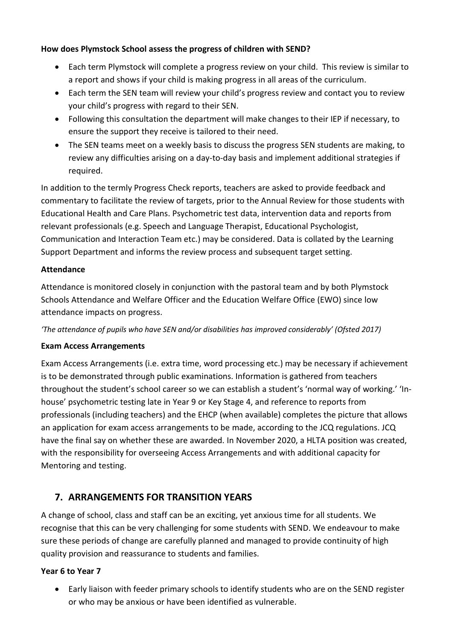#### **How does Plymstock School assess the progress of children with SEND?**

- Each term Plymstock will complete a progress review on your child. This review is similar to a report and shows if your child is making progress in all areas of the curriculum.
- Each term the SEN team will review your child's progress review and contact you to review your child's progress with regard to their SEN.
- Following this consultation the department will make changes to their IEP if necessary, to ensure the support they receive is tailored to their need.
- The SEN teams meet on a weekly basis to discuss the progress SEN students are making, to review any difficulties arising on a day-to-day basis and implement additional strategies if required.

In addition to the termly Progress Check reports, teachers are asked to provide feedback and commentary to facilitate the review of targets, prior to the Annual Review for those students with Educational Health and Care Plans. Psychometric test data, intervention data and reports from relevant professionals (e.g. Speech and Language Therapist, Educational Psychologist, Communication and Interaction Team etc.) may be considered. Data is collated by the Learning Support Department and informs the review process and subsequent target setting.

#### **Attendance**

Attendance is monitored closely in conjunction with the pastoral team and by both Plymstock Schools Attendance and Welfare Officer and the Education Welfare Office (EWO) since low attendance impacts on progress.

*'The attendance of pupils who have SEN and/or disabilities has improved considerably' (Ofsted 2017)*

#### **Exam Access Arrangements**

Exam Access Arrangements (i.e. extra time, word processing etc.) may be necessary if achievement is to be demonstrated through public examinations. Information is gathered from teachers throughout the student's school career so we can establish a student's 'normal way of working.' 'In‐ house' psychometric testing late in Year 9 or Key Stage 4, and reference to reports from professionals (including teachers) and the EHCP (when available) completes the picture that allows an application for exam access arrangements to be made, according to the JCQ regulations. JCQ have the final say on whether these are awarded. In November 2020, a HLTA position was created, with the responsibility for overseeing Access Arrangements and with additional capacity for Mentoring and testing.

### **7. ARRANGEMENTS FOR TRANSITION YEARS**

A change of school, class and staff can be an exciting, yet anxious time for all students. We recognise that this can be very challenging for some students with SEND. We endeavour to make sure these periods of change are carefully planned and managed to provide continuity of high quality provision and reassurance to students and families.

#### **Year 6 to Year 7**

 Early liaison with feeder primary schools to identify students who are on the SEND register or who may be anxious or have been identified as vulnerable.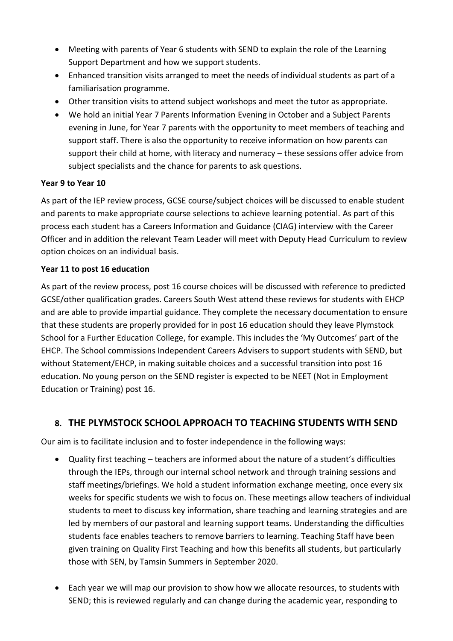- Meeting with parents of Year 6 students with SEND to explain the role of the Learning Support Department and how we support students.
- Enhanced transition visits arranged to meet the needs of individual students as part of a familiarisation programme.
- Other transition visits to attend subject workshops and meet the tutor as appropriate.
- We hold an initial Year 7 Parents Information Evening in October and a Subject Parents evening in June, for Year 7 parents with the opportunity to meet members of teaching and support staff. There is also the opportunity to receive information on how parents can support their child at home, with literacy and numeracy – these sessions offer advice from subject specialists and the chance for parents to ask questions.

#### **Year 9 to Year 10**

As part of the IEP review process, GCSE course/subject choices will be discussed to enable student and parents to make appropriate course selections to achieve learning potential. As part of this process each student has a Careers Information and Guidance (CIAG) interview with the Career Officer and in addition the relevant Team Leader will meet with Deputy Head Curriculum to review option choices on an individual basis.

#### **Year 11 to post 16 education**

As part of the review process, post 16 course choices will be discussed with reference to predicted GCSE/other qualification grades. Careers South West attend these reviews for students with EHCP and are able to provide impartial guidance. They complete the necessary documentation to ensure that these students are properly provided for in post 16 education should they leave Plymstock School for a Further Education College, for example. This includes the 'My Outcomes' part of the EHCP. The School commissions Independent Careers Advisers to support students with SEND, but without Statement/EHCP, in making suitable choices and a successful transition into post 16 education. No young person on the SEND register is expected to be NEET (Not in Employment Education or Training) post 16.

### **8. THE PLYMSTOCK SCHOOL APPROACH TO TEACHING STUDENTS WITH SEND**

Our aim is to facilitate inclusion and to foster independence in the following ways:

- Quality first teaching teachers are informed about the nature of a student's difficulties through the IEPs, through our internal school network and through training sessions and staff meetings/briefings. We hold a student information exchange meeting, once every six weeks for specific students we wish to focus on. These meetings allow teachers of individual students to meet to discuss key information, share teaching and learning strategies and are led by members of our pastoral and learning support teams. Understanding the difficulties students face enables teachers to remove barriers to learning. Teaching Staff have been given training on Quality First Teaching and how this benefits all students, but particularly those with SEN, by Tamsin Summers in September 2020.
- Each year we will map our provision to show how we allocate resources, to students with SEND; this is reviewed regularly and can change during the academic year, responding to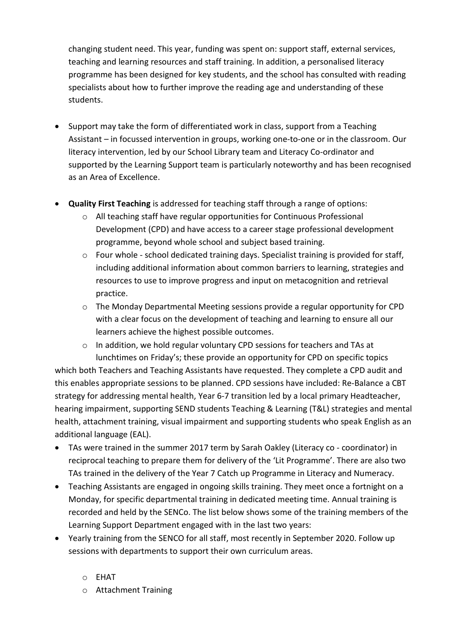changing student need. This year, funding was spent on: support staff, external services, teaching and learning resources and staff training. In addition, a personalised literacy programme has been designed for key students, and the school has consulted with reading specialists about how to further improve the reading age and understanding of these students.

- Support may take the form of differentiated work in class, support from a Teaching Assistant – in focussed intervention in groups, working one-to-one or in the classroom. Our literacy intervention, led by our School Library team and Literacy Co-ordinator and supported by the Learning Support team is particularly noteworthy and has been recognised as an Area of Excellence.
- **Quality First Teaching** is addressed for teaching staff through a range of options:
	- o All teaching staff have regular opportunities for Continuous Professional Development (CPD) and have access to a career stage professional development programme, beyond whole school and subject based training.
	- $\circ$  Four whole school dedicated training days. Specialist training is provided for staff, including additional information about common barriers to learning, strategies and resources to use to improve progress and input on metacognition and retrieval practice.
	- o The Monday Departmental Meeting sessions provide a regular opportunity for CPD with a clear focus on the development of teaching and learning to ensure all our learners achieve the highest possible outcomes.
	- o In addition, we hold regular voluntary CPD sessions for teachers and TAs at lunchtimes on Friday's; these provide an opportunity for CPD on specific topics

which both Teachers and Teaching Assistants have requested. They complete a CPD audit and this enables appropriate sessions to be planned. CPD sessions have included: Re-Balance a CBT strategy for addressing mental health, Year 6-7 transition led by a local primary Headteacher, hearing impairment, supporting SEND students Teaching & Learning (T&L) strategies and mental health, attachment training, visual impairment and supporting students who speak English as an additional language (EAL).

- TAs were trained in the summer 2017 term by Sarah Oakley (Literacy co coordinator) in reciprocal teaching to prepare them for delivery of the 'Lit Programme'. There are also two TAs trained in the delivery of the Year 7 Catch up Programme in Literacy and Numeracy.
- Teaching Assistants are engaged in ongoing skills training. They meet once a fortnight on a Monday, for specific departmental training in dedicated meeting time. Annual training is recorded and held by the SENCo. The list below shows some of the training members of the Learning Support Department engaged with in the last two years:
- Yearly training from the SENCO for all staff, most recently in September 2020. Follow up sessions with departments to support their own curriculum areas.

o EHAT

o Attachment Training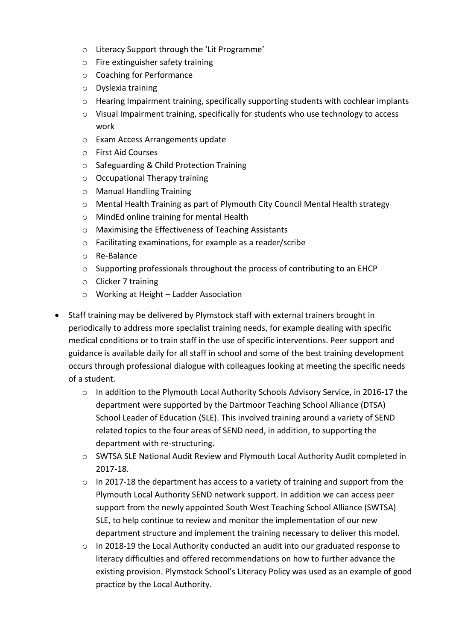- o Literacy Support through the 'Lit Programme'
- o Fire extinguisher safety training
- o Coaching for Performance
- o Dyslexia training
- o Hearing Impairment training, specifically supporting students with cochlear implants
- o Visual Impairment training, specifically for students who use technology to access work
- o Exam Access Arrangements update
- o First Aid Courses
- o Safeguarding & Child Protection Training
- o Occupational Therapy training
- o Manual Handling Training
- o Mental Health Training as part of Plymouth City Council Mental Health strategy
- o MindEd online training for mental Health
- o Maximising the Effectiveness of Teaching Assistants
- o Facilitating examinations, for example as a reader/scribe
- o Re-Balance
- $\circ$  Supporting professionals throughout the process of contributing to an EHCP
- o Clicker 7 training
- o Working at Height Ladder Association
- Staff training may be delivered by Plymstock staff with external trainers brought in periodically to address more specialist training needs, for example dealing with specific medical conditions or to train staff in the use of specific interventions. Peer support and guidance is available daily for all staff in school and some of the best training development occurs through professional dialogue with colleagues looking at meeting the specific needs of a student.
	- o In addition to the Plymouth Local Authority Schools Advisory Service, in 2016-17 the department were supported by the Dartmoor Teaching School Alliance (DTSA) School Leader of Education (SLE). This involved training around a variety of SEND related topics to the four areas of SEND need, in addition, to supporting the department with re-structuring.
	- o SWTSA SLE National Audit Review and Plymouth Local Authority Audit completed in 2017-18.
	- o In 2017-18 the department has access to a variety of training and support from the Plymouth Local Authority SEND network support. In addition we can access peer support from the newly appointed South West Teaching School Alliance (SWTSA) SLE, to help continue to review and monitor the implementation of our new department structure and implement the training necessary to deliver this model.
	- o In 2018-19 the Local Authority conducted an audit into our graduated response to literacy difficulties and offered recommendations on how to further advance the existing provision. Plymstock School's Literacy Policy was used as an example of good practice by the Local Authority.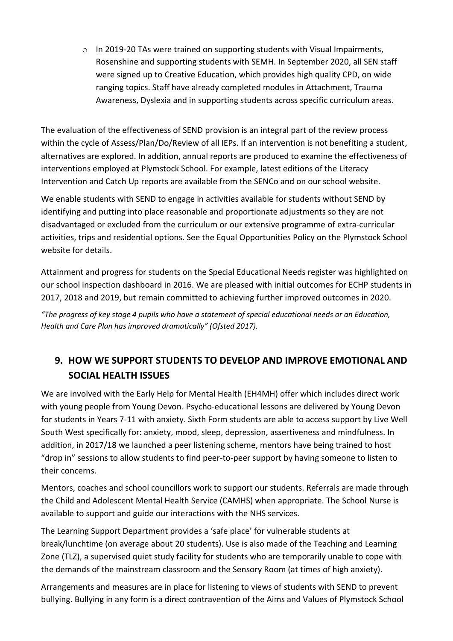o In 2019-20 TAs were trained on supporting students with Visual Impairments, Rosenshine and supporting students with SEMH. In September 2020, all SEN staff were signed up to Creative Education, which provides high quality CPD, on wide ranging topics. Staff have already completed modules in Attachment, Trauma Awareness, Dyslexia and in supporting students across specific curriculum areas.

The evaluation of the effectiveness of SEND provision is an integral part of the review process within the cycle of Assess/Plan/Do/Review of all IEPs. If an intervention is not benefiting a student, alternatives are explored. In addition, annual reports are produced to examine the effectiveness of interventions employed at Plymstock School. For example, latest editions of the Literacy Intervention and Catch Up reports are available from the SENCo and on our school website.

We enable students with SEND to engage in activities available for students without SEND by identifying and putting into place reasonable and proportionate adjustments so they are not disadvantaged or excluded from the curriculum or our extensive programme of extra‐curricular activities, trips and residential options. See the Equal Opportunities Policy on the Plymstock School website for details.

Attainment and progress for students on the Special Educational Needs register was highlighted on our school inspection dashboard in 2016. We are pleased with initial outcomes for ECHP students in 2017, 2018 and 2019, but remain committed to achieving further improved outcomes in 2020.

"The progress of key stage 4 pupils who have a statement of special educational needs or an Education, *Health and Care Plan has improved dramatically" (Ofsted 2017).* 

## **9. HOW WE SUPPORT STUDENTS TO DEVELOP AND IMPROVE EMOTIONAL AND SOCIAL HEALTH ISSUES**

We are involved with the Early Help for Mental Health (EH4MH) offer which includes direct work with young people from Young Devon. Psycho-educational lessons are delivered by Young Devon for students in Years 7-11 with anxiety. Sixth Form students are able to access support by Live Well South West specifically for: anxiety, mood, sleep, depression, assertiveness and mindfulness. In addition, in 2017/18 we launched a peer listening scheme, mentors have being trained to host "drop in" sessions to allow students to find peer-to-peer support by having someone to listen to their concerns.

Mentors, coaches and school councillors work to support our students. Referrals are made through the Child and Adolescent Mental Health Service (CAMHS) when appropriate. The School Nurse is available to support and guide our interactions with the NHS services.

The Learning Support Department provides a 'safe place' for vulnerable students at break/lunchtime (on average about 20 students). Use is also made of the Teaching and Learning Zone (TLZ), a supervised quiet study facility for students who are temporarily unable to cope with the demands of the mainstream classroom and the Sensory Room (at times of high anxiety).

Arrangements and measures are in place for listening to views of students with SEND to prevent bullying. Bullying in any form is a direct contravention of the Aims and Values of Plymstock School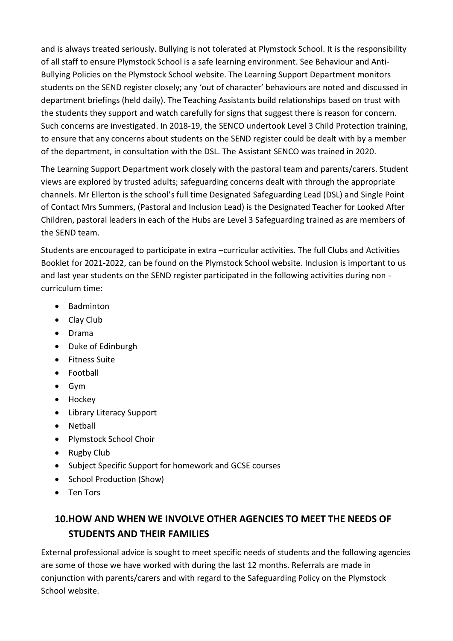and is always treated seriously. Bullying is not tolerated at Plymstock School. It is the responsibility of all staff to ensure Plymstock School is a safe learning environment. See Behaviour and Anti-Bullying Policies on the Plymstock School website. The Learning Support Department monitors students on the SEND register closely; any 'out of character' behaviours are noted and discussed in department briefings (held daily). The Teaching Assistants build relationships based on trust with the students they support and watch carefully for signs that suggest there is reason for concern. Such concerns are investigated. In 2018-19, the SENCO undertook Level 3 Child Protection training, to ensure that any concerns about students on the SEND register could be dealt with by a member of the department, in consultation with the DSL. The Assistant SENCO was trained in 2020.

The Learning Support Department work closely with the pastoral team and parents/carers. Student views are explored by trusted adults; safeguarding concerns dealt with through the appropriate channels. Mr Ellerton is the school's full time Designated Safeguarding Lead (DSL) and Single Point of Contact Mrs Summers, (Pastoral and Inclusion Lead) is the Designated Teacher for Looked After Children, pastoral leaders in each of the Hubs are Level 3 Safeguarding trained as are members of the SEND team.

Students are encouraged to participate in extra –curricular activities. The full Clubs and Activities Booklet for 2021-2022, can be found on the Plymstock School website. Inclusion is important to us and last year students on the SEND register participated in the following activities during non curriculum time:

- Badminton
- Clay Club
- Drama
- Duke of Edinburgh
- **•** Fitness Suite
- Football
- Gym
- Hockey
- Library Literacy Support
- Netball
- Plymstock School Choir
- Rugby Club
- Subject Specific Support for homework and GCSE courses
- School Production (Show)
- Ten Tors

# **10.HOW AND WHEN WE INVOLVE OTHER AGENCIES TO MEET THE NEEDS OF STUDENTS AND THEIR FAMILIES**

External professional advice is sought to meet specific needs of students and the following agencies are some of those we have worked with during the last 12 months. Referrals are made in conjunction with parents/carers and with regard to the Safeguarding Policy on the Plymstock School website.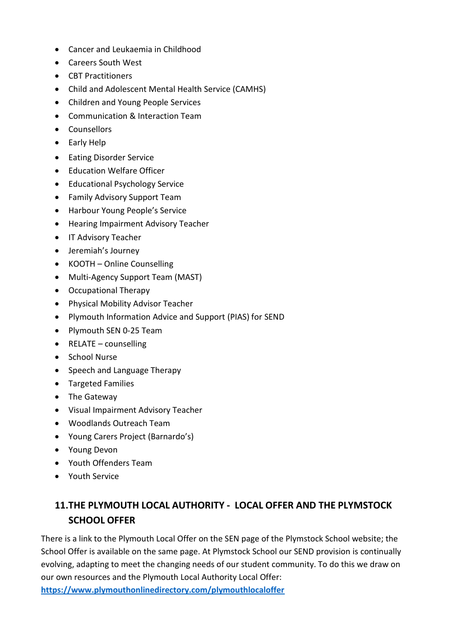- Cancer and Leukaemia in Childhood
- Careers South West
- CBT Practitioners
- Child and Adolescent Mental Health Service (CAMHS)
- Children and Young People Services
- Communication & Interaction Team
- Counsellors
- Early Help
- **•** Eating Disorder Service
- Education Welfare Officer
- Educational Psychology Service
- Family Advisory Support Team
- Harbour Young People's Service
- **•** Hearing Impairment Advisory Teacher
- IT Advisory Teacher
- Jeremiah's Journey
- KOOTH Online Counselling
- Multi-Agency Support Team (MAST)
- Occupational Therapy
- Physical Mobility Advisor Teacher
- Plymouth Information Advice and Support (PIAS) for SEND
- Plymouth SEN 0-25 Team
- $\bullet$  RELATE counselling
- School Nurse
- Speech and Language Therapy
- Targeted Families
- The Gateway
- Visual Impairment Advisory Teacher
- Woodlands Outreach Team
- Young Carers Project (Barnardo's)
- Young Devon
- Youth Offenders Team
- Youth Service

# **11.THE PLYMOUTH LOCAL AUTHORITY - LOCAL OFFER AND THE PLYMSTOCK SCHOOL OFFER**

There is a link to the Plymouth Local Offer on the SEN page of the Plymstock School website; the School Offer is available on the same page. At Plymstock School our SEND provision is continually evolving, adapting to meet the changing needs of our student community. To do this we draw on our own resources and the Plymouth Local Authority Local Offer: **<https://www.plymouthonlinedirectory.com/plymouthlocaloffer>**